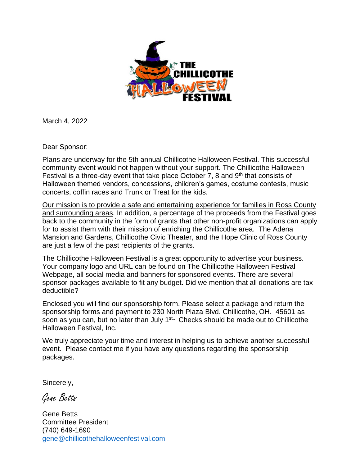

March 4, 2022

Dear Sponsor:

Plans are underway for the 5th annual Chillicothe Halloween Festival. This successful community event would not happen without your support. The Chillicothe Halloween Festival is a three-day event that take place October 7, 8 and 9<sup>th</sup> that consists of Halloween themed vendors, concessions, children's games, costume contests, music concerts, coffin races and Trunk or Treat for the kids.

Our mission is to provide a safe and entertaining experience for families in Ross County and surrounding areas. In addition, a percentage of the proceeds from the Festival goes back to the community in the form of grants that other non-profit organizations can apply for to assist them with their mission of enriching the Chillicothe area. The Adena Mansion and Gardens, Chillicothe Civic Theater, and the Hope Clinic of Ross County are just a few of the past recipients of the grants.

The Chillicothe Halloween Festival is a great opportunity to advertise your business. Your company logo and URL can be found on The Chillicothe Halloween Festival Webpage, all social media and banners for sponsored events. There are several sponsor packages available to fit any budget. Did we mention that all donations are tax deductible?

Enclosed you will find our sponsorship form. Please select a package and return the sponsorship forms and payment to 230 North Plaza Blvd. Chillicothe, OH. 45601 as soon as you can, but no later than July 1<sup>st..</sup> Checks should be made out to Chillicothe Halloween Festival, Inc.

We truly appreciate your time and interest in helping us to achieve another successful event. Please contact me if you have any questions regarding the sponsorship packages.

Sincerely,

Gene Betts

Gene Betts Committee President (740) 649-1690 gene@chillicothehalloweenfestival.com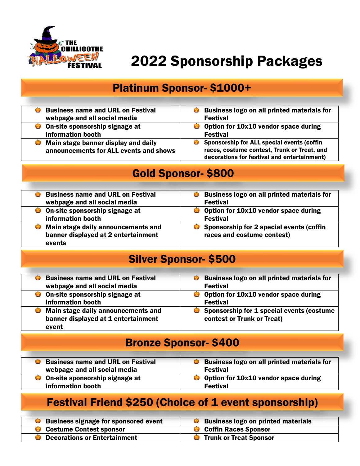

# 2022 Sponsorship Packages

### Platinum Sponsor- \$1000+

| <b>Business name and URL on Festival</b> | Business logo on all printed materials for  |
|------------------------------------------|---------------------------------------------|
| webpage and all social media             | <b>Festival</b>                             |
| On-site sponsorship signage at           | Option for 10x10 vendor space during        |
| information booth                        | <b>Festival</b>                             |
| Main stage banner display and daily      | Sponsorship for ALL special events (coffin  |
| announcements for ALL events and shows   | races, costume contest, Trunk or Treat, and |
|                                          | decorations for festival and entertainment) |

#### Gold Sponsor- \$800

| <b>Business name and URL on Festival</b><br>webpage and all social media            | <b>Business logo on all printed materials for</b><br>Ø<br><b>Festival</b> |
|-------------------------------------------------------------------------------------|---------------------------------------------------------------------------|
| <b>O</b> On-site sponsorship signage at<br>information booth                        | Option for 10x10 vendor space during<br><b>Festival</b>                   |
| Main stage daily announcements and<br>banner displayed at 2 entertainment<br>events | Sponsorship for 2 special events (coffin<br>races and costume contest)    |

### Silver Sponsor- \$500

| <b>Business name and URL on Festival</b> | <b>Business logo on all printed materials for</b><br>$\bullet$ |
|------------------------------------------|----------------------------------------------------------------|
| webpage and all social media             | <b>Festival</b>                                                |
| On-site sponsorship signage at           | Option for 10x10 vendor space during                           |
| information booth                        | <b>Festival</b>                                                |
| Main stage daily announcements and       | Sponsorship for 1 special events (costume                      |
| banner displayed at 1 entertainment      | contest or Trunk or Treat)                                     |
| event                                    |                                                                |

### Bronze Sponsor- \$400

| <b>Business name and URL on Festival</b> | <b>Business logo on all printed materials for</b> |
|------------------------------------------|---------------------------------------------------|
| webpage and all social media             | <b>Festival</b>                                   |
| <b>O</b> On-site sponsorship signage at  | Option for 10x10 vendor space during              |
| information booth                        | <b>Festival</b>                                   |

### Festival Friend \$250 (Choice of 1 event sponsorship)

| <b>Business signage for sponsored event</b> | <b>Business logo on printed materials</b> |
|---------------------------------------------|-------------------------------------------|
| Costume Contest sponsor                     | Coffin Races Sponsor                      |
| <b>Decorations or Entertainment</b>         | <b>Trunk or Treat Sponsor</b>             |